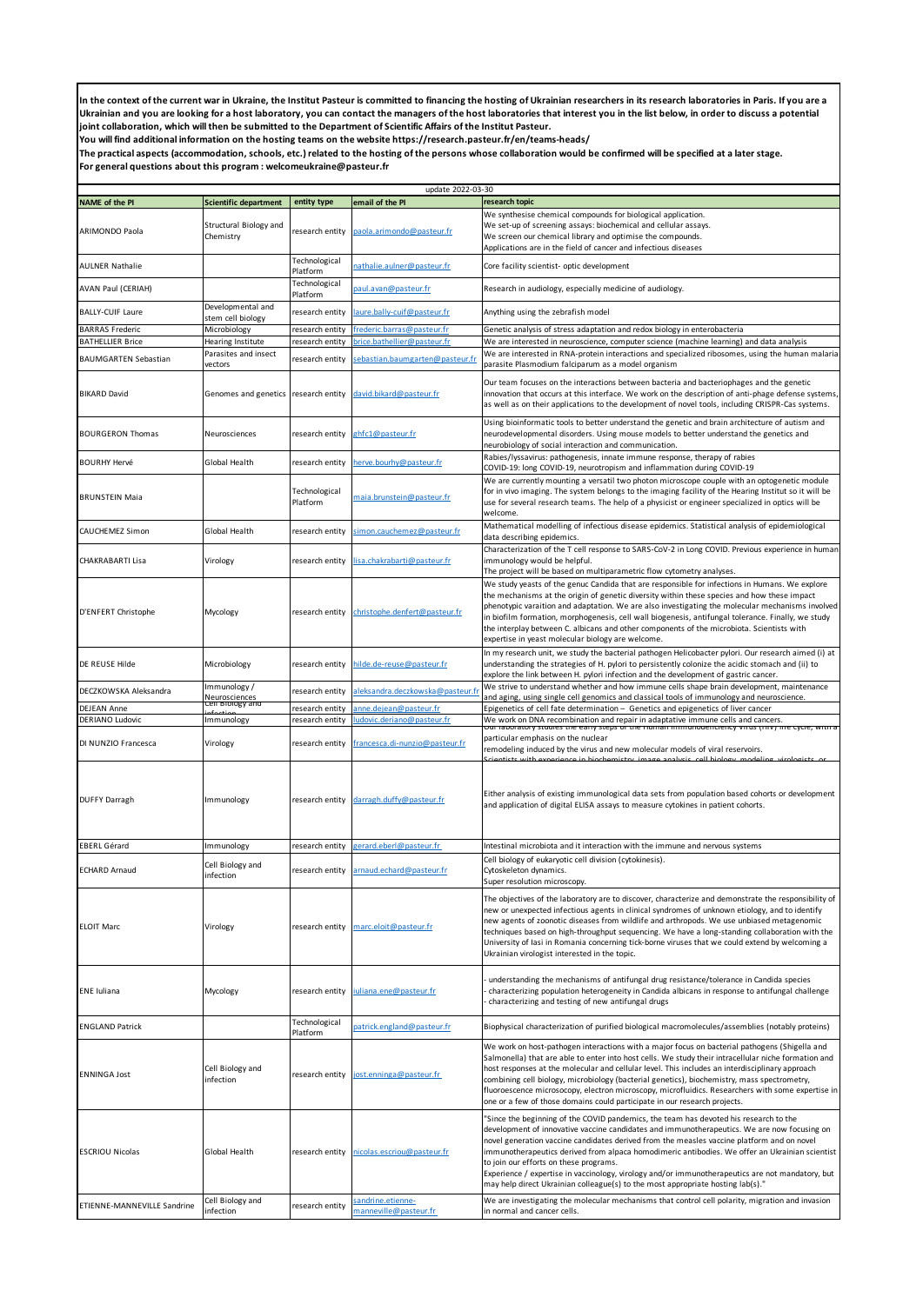In the context of the current war in Ukraine, the Institut Pasteur is committed to financing the hosting of Ukrainian researchers in its research laboratories in Paris. If you are a **Ukrainian and you are looking for a host laboratory, you can contact the managers of the host laboratories that interest you in the list below, in order to discuss a potential joint collaboration, which will then be submitted to the Department of Scientific Affairs of the Institut Pasteur.**

**You will find additional information on the hosting teams on the website https://research.pasteur.fr/en/teams-heads/**

**The practical aspects (accommodation, schools, etc.) related to the hosting of the persons whose collaboration would be confirmed will be specified at a later stage. For general questions about this program : welcomeukraine@pasteur.fr**

|                                        |                                                  |                                    | update 2022-03-30                                           |                                                                                                                                                                                                                                                                                                                                                                                                                                                                                                                                                                                                                       |
|----------------------------------------|--------------------------------------------------|------------------------------------|-------------------------------------------------------------|-----------------------------------------------------------------------------------------------------------------------------------------------------------------------------------------------------------------------------------------------------------------------------------------------------------------------------------------------------------------------------------------------------------------------------------------------------------------------------------------------------------------------------------------------------------------------------------------------------------------------|
| <b>NAME of the PI</b>                  | <b>Scientific department</b>                     | entity type                        | email of the PI                                             | research topic                                                                                                                                                                                                                                                                                                                                                                                                                                                                                                                                                                                                        |
| ARIMONDO Paola                         | Structural Biology and<br>Chemistry              | research entity                    | paola.arimondo@pasteur.fr                                   | We synthesise chemical compounds for biological application.<br>We set-up of screening assays: biochemical and cellular assays.<br>We screen our chemical library and optimise the compounds.<br>Applications are in the field of cancer and infectious diseases                                                                                                                                                                                                                                                                                                                                                      |
| <b>AULNER Nathalie</b>                 |                                                  | Technological<br>Platform          | athalie.aulner@pasteur.fr                                   | Core facility scientist- optic development                                                                                                                                                                                                                                                                                                                                                                                                                                                                                                                                                                            |
| AVAN Paul (CERIAH)                     |                                                  | Technological<br>Platform          | aul.avan@pasteur.fr                                         | Research in audiology, especially medicine of audiology.                                                                                                                                                                                                                                                                                                                                                                                                                                                                                                                                                              |
| <b>BALLY-CUIF Laure</b>                | Developmental and<br>stem cell biology           | research entity                    | aure.bally-cuif@pasteur.fr                                  | Anything using the zebrafish model                                                                                                                                                                                                                                                                                                                                                                                                                                                                                                                                                                                    |
| <b>BARRAS Frederic</b>                 | Microbiology                                     | research entity                    | rederic.barras@pasteur.fr                                   | Genetic analysis of stress adaptation and redox biology in enterobacteria                                                                                                                                                                                                                                                                                                                                                                                                                                                                                                                                             |
| <b>BATHELLIER Brice</b>                | Hearing Institute                                | research entity                    | orice.bathellier@pasteur.fr                                 | We are interested in neuroscience, computer science (machine learning) and data analysis                                                                                                                                                                                                                                                                                                                                                                                                                                                                                                                              |
| <b>BAUMGARTEN Sebastian</b>            | Parasites and insect                             | research entity                    | ebastian.baumgarten@pasteur.f                               | We are interested in RNA-protein interactions and specialized ribosomes, using the human malaria                                                                                                                                                                                                                                                                                                                                                                                                                                                                                                                      |
| <b>BIKARD David</b>                    | vectors<br>Genomes and genetics                  | research entity                    | david.bikard@pasteur.fr                                     | parasite Plasmodium falciparum as a model organism<br>Our team focuses on the interactions between bacteria and bacteriophages and the genetic<br>innovation that occurs at this interface. We work on the description of anti-phage defense systems,<br>as well as on their applications to the development of novel tools, including CRISPR-Cas systems.                                                                                                                                                                                                                                                            |
| <b>BOURGERON Thomas</b>                | Neurosciences                                    | research entity                    | ghfc1@pasteur.fr                                            | Using bioinformatic tools to better understand the genetic and brain architecture of autism and<br>neurodevelopmental disorders. Using mouse models to better understand the genetics and<br>neurobiology of social interaction and communication.                                                                                                                                                                                                                                                                                                                                                                    |
| <b>BOURHY Hervé</b>                    | Global Health                                    | research entity                    | herve.bourhy@pasteur.fr                                     | Rabies/lyssavirus: pathogenesis, innate immune response, therapy of rabies<br>COVID-19: long COVID-19, neurotropism and inflammation during COVID-19                                                                                                                                                                                                                                                                                                                                                                                                                                                                  |
| <b>BRUNSTEIN Maia</b>                  |                                                  | Technological<br>Platform          | maia.brunstein@pasteur.fr                                   | We are currently mounting a versatil two photon microscope couple with an optogenetic module<br>for in vivo imaging. The system belongs to the imaging facility of the Hearing Institut so it will be<br>use for several research teams. The help of a physicist or engineer specialized in optics will be<br>welcome.                                                                                                                                                                                                                                                                                                |
| CAUCHEMEZ Simon                        | Global Health                                    | research entity                    | simon.cauchemez@pasteur.fr                                  | Mathematical modelling of infectious disease epidemics. Statistical analysis of epidemiological<br>data describing epidemics.                                                                                                                                                                                                                                                                                                                                                                                                                                                                                         |
| CHAKRABARTI Lisa                       | Virology                                         | research entity                    | lisa.chakrabarti@pasteur.fr                                 | Characterization of the T cell response to SARS-CoV-2 in Long COVID. Previous experience in human<br>immunology would be helpful.<br>The project will be based on multiparametric flow cytometry analyses.                                                                                                                                                                                                                                                                                                                                                                                                            |
| D'ENFERT Christophe                    | Mycology                                         | research entity                    | christophe.denfert@pasteur.fr                               | We study yeasts of the genuc Candida that are responsible for infections in Humans. We explore<br>the mechanisms at the origin of genetic diversity within these species and how these impact<br>phenotypic varaition and adaptation. We are also investigating the molecular mechanisms involved<br>in biofilm formation, morphogenesis, cell wall biogenesis, antifungal tolerance. Finally, we study<br>the interplay between C. albicans and other components of the microbiota. Scientists with<br>expertise in yeast molecular biology are welcome.                                                             |
| DE REUSE Hilde                         | Microbiology                                     | research entity                    | hilde.de-reuse@pasteur.fr                                   | In my research unit, we study the bacterial pathogen Helicobacter pylori. Our research aimed (i) at<br>understanding the strategies of H. pylori to persistently colonize the acidic stomach and (ii) to<br>explore the link between H. pylori infection and the development of gastric cancer.                                                                                                                                                                                                                                                                                                                       |
| DECZKOWSKA Aleksandra                  | Immunology/<br>Neurosciences<br>Ceir Biology and | research entity                    | aleksandra.deczkowska@pasteur.f                             | We strive to understand whether and how immune cells shape brain development, maintenance<br>and aging, using single cell genomics and classical tools of immunology and neuroscience.                                                                                                                                                                                                                                                                                                                                                                                                                                |
| DEJEAN Anne                            |                                                  | research entity                    | anne.dejean@pasteur.fr                                      | Epigenetics of cell fate determination - Genetics and epigenetics of liver cancer                                                                                                                                                                                                                                                                                                                                                                                                                                                                                                                                     |
| DERIANO Ludovic<br>DI NUNZIO Francesca | Immunology<br>Virology                           | research entity<br>research entity | udovic.deriano@pasteur.fr<br>francesca.di-nunzio@pasteur.fr | We work on DNA recombination and repair in adaptative immune cells and cancers.<br>Our raboratory studies the early steps or the Human immunodericiency virus (Hiv) life cycle, with a<br>particular emphasis on the nuclear<br>remodeling induced by the virus and new molecular models of viral reservoirs.                                                                                                                                                                                                                                                                                                         |
| <b>DUFFY Darragh</b>                   | Immunology                                       |                                    | research entity darragh.duffy@pasteur.fr                    | Either analysis of existing immunological data sets from population based cohorts or development<br>and application of digital ELISA assays to measure cytokines in patient cohorts.                                                                                                                                                                                                                                                                                                                                                                                                                                  |
| EBERL Gérard                           | Immunology                                       | research entity                    | <u>gerard.eberl@pasteur.fr</u>                              | Intestinal microbiota and it interaction with the immune and nervous systems                                                                                                                                                                                                                                                                                                                                                                                                                                                                                                                                          |
| <b>ECHARD Arnaud</b>                   | Cell Biology and<br>infection                    | research entity                    | arnaud.echard@pasteur.fr                                    | Cell biology of eukaryotic cell division (cytokinesis).<br>Cytoskeleton dynamics.<br>Super resolution microscopy.                                                                                                                                                                                                                                                                                                                                                                                                                                                                                                     |
| <b>ELOIT Marc</b>                      | Virology                                         | research entity                    | marc.eloit@pasteur.fr                                       | The objectives of the laboratory are to discover, characterize and demonstrate the responsibility of<br>new or unexpected infectious agents in clinical syndromes of unknown etiology, and to identify<br>new agents of zoonotic diseases from wildlife and arthropods. We use unbiased metagenomic<br>techniques based on high-throughput sequencing. We have a long-standing collaboration with the<br>University of lasi in Romania concerning tick-borne viruses that we could extend by welcoming a<br>Ukrainian virologist interested in the topic.                                                             |
| <b>ENE</b> Iuliana                     | Mycology                                         | research entity                    | uliana.ene@pasteur.fr                                       | understanding the mechanisms of antifungal drug resistance/tolerance in Candida species<br>characterizing population heterogeneity in Candida albicans in response to antifungal challenge<br>characterizing and testing of new antifungal drugs                                                                                                                                                                                                                                                                                                                                                                      |
| <b>ENGLAND Patrick</b>                 |                                                  | Technological<br>Platform          | patrick.england@pasteur.fr                                  | Biophysical characterization of purified biological macromolecules/assemblies (notably proteins)                                                                                                                                                                                                                                                                                                                                                                                                                                                                                                                      |
| <b>ENNINGA Jost</b>                    | Cell Biology and<br>infection                    | research entity                    | jost.enninga@pasteur.fr                                     | We work on host-pathogen interactions with a major focus on bacterial pathogens (Shigella and<br>Salmonella) that are able to enter into host cells. We study their intracellular niche formation and<br>host responses at the molecular and cellular level. This includes an interdisciplinary approach<br>combining cell biology, microbiology (bacterial genetics), biochemistry, mass spectrometry,<br>fluoroescence microsocopy, electron microscopy, microfluidics. Researchers with some expertise in<br>one or a few of those domains could participate in our research projects.                             |
| <b>ESCRIOU Nicolas</b>                 | Global Health                                    | research entity                    | nicolas.escriou@pasteur.fr                                  | "Since the beginning of the COVID pandemics, the team has devoted his research to the<br>development of innovative vaccine candidates and immunotherapeutics. We are now focusing on<br>novel generation vaccine candidates derived from the measles vaccine platform and on novel<br>immunotherapeutics derived from alpaca homodimeric antibodies. We offer an Ukrainian scientist<br>to join our efforts on these programs.<br>Experience / expertise in vaccinology, virology and/or immunotherapeutics are not mandatory, but<br>may help direct Ukrainian colleague(s) to the most appropriate hosting lab(s)." |
| ETIENNE-MANNEVILLE Sandrine            | Cell Biology and<br>infection                    | research entity                    | andrine.etienne-<br>nanneville@pasteur.fr                   | We are investigating the molecular mechanisms that control cell polarity, migration and invasion<br>in normal and cancer cells.                                                                                                                                                                                                                                                                                                                                                                                                                                                                                       |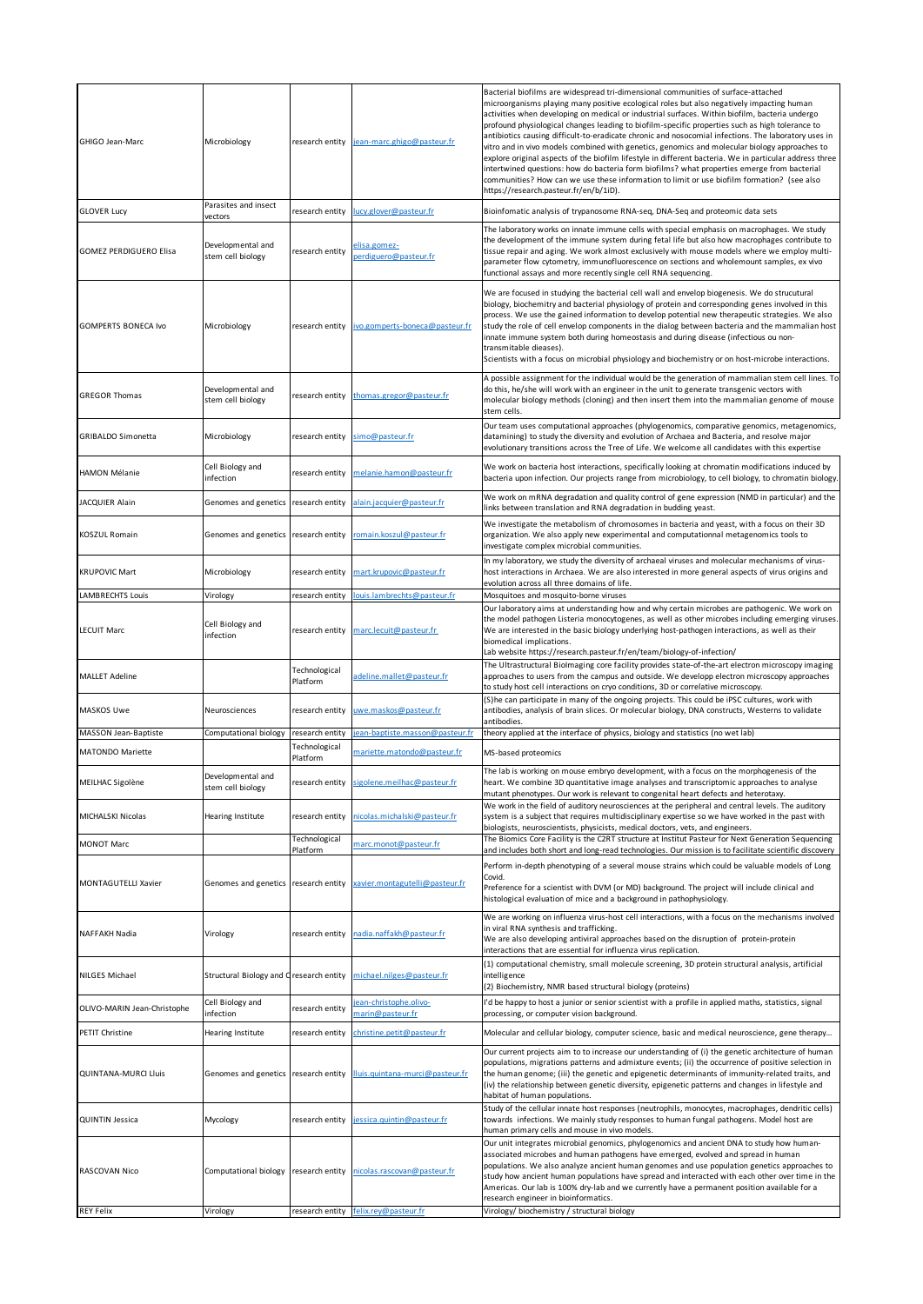| GHIGO Jean-Marc               | Microbiology                            | research entity                  | jean-marc.ghigo@pasteur.fr                | Bacterial biofilms are widespread tri-dimensional communities of surface-attached<br>microorganisms playing many positive ecological roles but also negatively impacting human<br>activities when developing on medical or industrial surfaces. Within biofilm, bacteria undergo<br>profound physiological changes leading to biofilm-specific properties such as high tolerance to<br>antibiotics causing difficult-to-eradicate chronic and nosocomial infections. The laboratory uses in<br>vitro and in vivo models combined with genetics, genomics and molecular biology approaches to<br>explore original aspects of the biofilm lifestyle in different bacteria. We in particular address three<br>intertwined questions: how do bacteria form biofilms? what properties emerge from bacterial<br>communities? How can we use these information to limit or use biofilm formation? (see also<br>https://research.pasteur.fr/en/b/1iD). |
|-------------------------------|-----------------------------------------|----------------------------------|-------------------------------------------|------------------------------------------------------------------------------------------------------------------------------------------------------------------------------------------------------------------------------------------------------------------------------------------------------------------------------------------------------------------------------------------------------------------------------------------------------------------------------------------------------------------------------------------------------------------------------------------------------------------------------------------------------------------------------------------------------------------------------------------------------------------------------------------------------------------------------------------------------------------------------------------------------------------------------------------------|
| <b>GLOVER Lucy</b>            | Parasites and insect<br>vectors         | research entity                  | ucy.glover@pasteur.fr                     | Bioinfomatic analysis of trypanosome RNA-seq, DNA-Seq and proteomic data sets                                                                                                                                                                                                                                                                                                                                                                                                                                                                                                                                                                                                                                                                                                                                                                                                                                                                  |
| <b>GOMEZ PERDIGUERO Elisa</b> | Developmental and<br>stem cell biology  | research entity                  | elisa.gomez-<br>erdiguero@pasteur.fr      | The laboratory works on innate immune cells with special emphasis on macrophages. We study<br>the development of the immune system during fetal life but also how macrophages contribute to<br>tissue repair and aging. We work almost exclusively with mouse models where we employ multi-<br>parameter flow cytometry, immunofluorescence on sections and wholemount samples, ex vivo<br>functional assays and more recently single cell RNA sequencing.                                                                                                                                                                                                                                                                                                                                                                                                                                                                                     |
| <b>GOMPERTS BONECA Ivo</b>    | Microbiology                            | research entity                  | ivo.gomperts-boneca@pasteur.fr            | We are focused in studying the bacterial cell wall and envelop biogenesis. We do strucutural<br>biology, biochemitry and bacterial physiology of protein and corresponding genes involved in this<br>process. We use the gained information to develop potential new therapeutic strategies. We also<br>study the role of cell envelop components in the dialog between bacteria and the mammalian host<br>innate immune system both during homeostasis and during disease (infectious ou non-<br>transmitable dieases).<br>Scientists with a focus on microbial physiology and biochemistry or on host-microbe interactions.                                                                                                                                                                                                                                                                                                                  |
| <b>GREGOR Thomas</b>          | Developmental and<br>stem cell biology  | research entity                  | thomas.gregor@pasteur.fr                  | A possible assignment for the individual would be the generation of mammalian stem cell lines. To<br>do this, he/she will work with an engineer in the unit to generate transgenic vectors with<br>molecular biology methods (cloning) and then insert them into the mammalian genome of mouse<br>stem cells.                                                                                                                                                                                                                                                                                                                                                                                                                                                                                                                                                                                                                                  |
| <b>GRIBALDO Simonetta</b>     | Microbiology                            | research entity                  | simo@pasteur.fr                           | Our team uses computational approaches (phylogenomics, comparative genomics, metagenomics,<br>datamining) to study the diversity and evolution of Archaea and Bacteria, and resolve major<br>evolutionary transitions across the Tree of Life. We welcome all candidates with this expertise                                                                                                                                                                                                                                                                                                                                                                                                                                                                                                                                                                                                                                                   |
| HAMON Mélanie                 | Cell Biology and<br>infection           | research entity                  | melanie.hamon@pasteur.fr                  | We work on bacteria host interactions, specifically looking at chromatin modifications induced by<br>bacteria upon infection. Our projects range from microbiology, to cell biology, to chromatin biology.                                                                                                                                                                                                                                                                                                                                                                                                                                                                                                                                                                                                                                                                                                                                     |
| JACQUIER Alain                | Genomes and genetics                    | research entity                  | alain.jacquier@pasteur.fr                 | We work on mRNA degradation and quality control of gene expression (NMD in particular) and the<br>links between translation and RNA degradation in budding yeast.                                                                                                                                                                                                                                                                                                                                                                                                                                                                                                                                                                                                                                                                                                                                                                              |
| KOSZUL Romain                 | Genomes and genetics                    | research entity                  | romain.koszul@pasteur.fr                  | We investigate the metabolism of chromosomes in bacteria and yeast, with a focus on their 3D<br>organization. We also apply new experimental and computationnal metagenomics tools to<br>investigate complex microbial communities.                                                                                                                                                                                                                                                                                                                                                                                                                                                                                                                                                                                                                                                                                                            |
| <b>KRUPOVIC Mart</b>          | Microbiology                            | research entity                  | mart.krupovic@pasteur.fr                  | In my laboratory, we study the diversity of archaeal viruses and molecular mechanisms of virus-<br>host interactions in Archaea. We are also interested in more general aspects of virus origins and<br>evolution across all three domains of life.                                                                                                                                                                                                                                                                                                                                                                                                                                                                                                                                                                                                                                                                                            |
| LAMBRECHTS Louis              | Virology                                | research entity                  | ouis.lambrechts@pasteur.fr                | Mosquitoes and mosquito-borne viruses                                                                                                                                                                                                                                                                                                                                                                                                                                                                                                                                                                                                                                                                                                                                                                                                                                                                                                          |
| <b>LECUIT Marc</b>            | Cell Biology and<br>infection           | research entity                  | marc.lecuit@pasteur.fr                    | Our laboratory aims at understanding how and why certain microbes are pathogenic. We work on<br>the model pathogen Listeria monocytogenes, as well as other microbes including emerging viruses.<br>We are interested in the basic biology underlying host-pathogen interactions, as well as their<br>biomedical implications.<br>Lab website https://research.pasteur.fr/en/team/biology-of-infection/                                                                                                                                                                                                                                                                                                                                                                                                                                                                                                                                        |
| <b>MALLET Adeline</b>         |                                         | Technological<br>Platform        | adeline.mallet@pasteur.fr                 | The Ultrastructural Biolmaging core facility provides state-of-the-art electron microscopy imaging<br>approaches to users from the campus and outside. We developp electron microscopy approaches<br>to study host cell interactions on cryo conditions, 3D or correlative microscopy.                                                                                                                                                                                                                                                                                                                                                                                                                                                                                                                                                                                                                                                         |
| MASKOS Uwe                    | Neurosciences                           | research entity                  | uwe.maskos@pasteur.fr                     | (S)he can participate in many of the ongoing projects. This could be iPSC cultures, work with<br>antibodies, analysis of brain slices. Or molecular biology, DNA constructs, Westerns to validate<br>antibodies.                                                                                                                                                                                                                                                                                                                                                                                                                                                                                                                                                                                                                                                                                                                               |
| MASSON Jean-Baptiste          | Computational biology                   | research entity<br>Technological | ean-baptiste.masson@pasteur.fr            | theory applied at the interface of physics, biology and statistics (no wet lab)                                                                                                                                                                                                                                                                                                                                                                                                                                                                                                                                                                                                                                                                                                                                                                                                                                                                |
| MATONDO Mariette              |                                         | Platform                         | mariette.matondo@pasteur.fr               | MS-based proteomics                                                                                                                                                                                                                                                                                                                                                                                                                                                                                                                                                                                                                                                                                                                                                                                                                                                                                                                            |
| MEILHAC Sigolène              | Developmental and<br>stem cell biology  | research entity                  | sigolene.meilhac@pasteur.fr               | The lab is working on mouse embryo development, with a focus on the morphogenesis of the<br>heart. We combine 3D quantitative image analyses and transcriptomic approaches to analyse<br>mutant phenotypes. Our work is relevant to congenital heart defects and heterotaxy.                                                                                                                                                                                                                                                                                                                                                                                                                                                                                                                                                                                                                                                                   |
| MICHALSKI Nicolas             | Hearing Institute                       | research entity<br>Technological | nicolas.michalski@pasteur.fr              | We work in the field of auditory neurosciences at the peripheral and central levels. The auditory<br>system is a subject that requires multidisciplinary expertise so we have worked in the past with<br>biologists, neuroscientists, physicists, medical doctors, vets, and engineers.<br>The Biomics Core Facility is the C2RT structure at Institut Pasteur for Next Generation Sequencing                                                                                                                                                                                                                                                                                                                                                                                                                                                                                                                                                  |
| MONOT Marc                    |                                         | Platform                         | marc.monot@pasteur.fr                     | and includes both short and long-read technologies. Our mission is to facilitate scientific discovery                                                                                                                                                                                                                                                                                                                                                                                                                                                                                                                                                                                                                                                                                                                                                                                                                                          |
| <b>MONTAGUTELLI Xavier</b>    | Genomes and genetics research entity    |                                  | cavier.montagutelli@pasteur.fr            | Perform in-depth phenotyping of a several mouse strains which could be valuable models of Long<br>Covid.<br>Preference for a scientist with DVM (or MD) background. The project will include clinical and<br>histological evaluation of mice and a background in pathophysiology.                                                                                                                                                                                                                                                                                                                                                                                                                                                                                                                                                                                                                                                              |
| NAFFAKH Nadia                 | Virology                                | research entity                  | nadia.naffakh@pasteur.fr                  | We are working on influenza virus-host cell interactions, with a focus on the mechanisms involved<br>in viral RNA synthesis and trafficking.<br>We are also developing antiviral approaches based on the disruption of protein-protein<br>interactions that are essential for influenza virus replication.                                                                                                                                                                                                                                                                                                                                                                                                                                                                                                                                                                                                                                     |
| NILGES Michael                | Structural Biology and Cresearch entity |                                  | michael.nilges@pasteur.fr                 | (1) computational chemistry, small molecule screening, 3D protein structural analysis, artificial<br>intelligence<br>(2) Biochemistry, NMR based structural biology (proteins)                                                                                                                                                                                                                                                                                                                                                                                                                                                                                                                                                                                                                                                                                                                                                                 |
| OLIVO-MARIN Jean-Christophe   | Cell Biology and<br>infection           | research entity                  | ean-christophe.olivo-<br>marin@pasteur.fr | I'd be happy to host a junior or senior scientist with a profile in applied maths, statistics, signal<br>processing, or computer vision background.                                                                                                                                                                                                                                                                                                                                                                                                                                                                                                                                                                                                                                                                                                                                                                                            |
| PETIT Christine               | Hearing Institute                       | research entity                  | christine.petit@pasteur.fr                | Molecular and cellular biology, computer science, basic and medical neuroscience, gene therapy                                                                                                                                                                                                                                                                                                                                                                                                                                                                                                                                                                                                                                                                                                                                                                                                                                                 |
| <b>QUINTANA-MURCI Lluis</b>   | Genomes and genetics research entity    |                                  | lluis.quintana-murci@pasteur.fr           | Our current projects aim to to increase our understanding of (i) the genetic architecture of human<br>populations, migrations patterns and admixture events; (ii) the occurrence of positive selection in<br>the human genome; (iii) the genetic and epigenetic determinants of immunity-related traits, and<br>(iv) the relationship between genetic diversity, epigenetic patterns and changes in lifestyle and<br>habitat of human populations.                                                                                                                                                                                                                                                                                                                                                                                                                                                                                             |
| <b>QUINTIN Jessica</b>        | Mycology                                | research entity                  | jessica.quintin@pasteur.fr                | Study of the cellular innate host responses (neutrophils, monocytes, macrophages, dendritic cells)<br>towards infections. We mainly study responses to human fungal pathogens. Model host are<br>human primary cells and mouse in vivo models.                                                                                                                                                                                                                                                                                                                                                                                                                                                                                                                                                                                                                                                                                                 |
| RASCOVAN Nico                 | Computational biology                   | research entity                  | nicolas.rascovan@pasteur.fr               | Our unit integrates microbial genomics, phylogenomics and ancient DNA to study how human-<br>associated microbes and human pathogens have emerged, evolved and spread in human<br>populations. We also analyze ancient human genomes and use population genetics approaches to<br>study how ancient human populations have spread and interacted with each other over time in the<br>Americas. Our lab is 100% dry-lab and we currently have a permanent position available for a<br>research engineer in bioinformatics.                                                                                                                                                                                                                                                                                                                                                                                                                      |
| <b>REY Felix</b>              | Virology                                | research entity                  | felix.rey@pasteur.fr                      | Virology/ biochemistry / structural biology                                                                                                                                                                                                                                                                                                                                                                                                                                                                                                                                                                                                                                                                                                                                                                                                                                                                                                    |